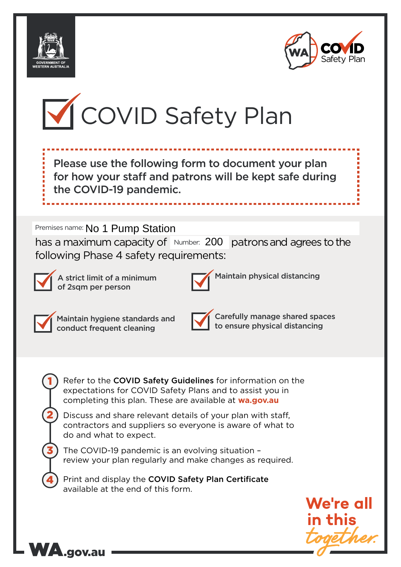





Please use the following form to document your plan for how your staff and patrons will be kept safe during the COVID-19 pandemic.

# Premises name: No 1 Pump Station

has a maximum capacity of Number: 200 patrons and agrees to the following Phase 4 safety requirements:



A strict limit of a minimum of 2sqm per person



Maintain physical distancing



1

2

3

4

Maintain hygiene standards and conduct frequent cleaning

WA.gov.au



Carefully manage shared spaces to ensure physical distancing

Refer to the COVID Safety Guidelines for information on the expectations for COVID Safety Plans and to assist you in completing this plan. These are available at **wa.gov.au**

Discuss and share relevant details of your plan with staff, contractors and suppliers so everyone is aware of what to do and what to expect.

The COVID-19 pandemic is an evolving situation – review your plan regularly and make changes as required.

Print and display the COVID Safety Plan Certificate available at the end of this form.

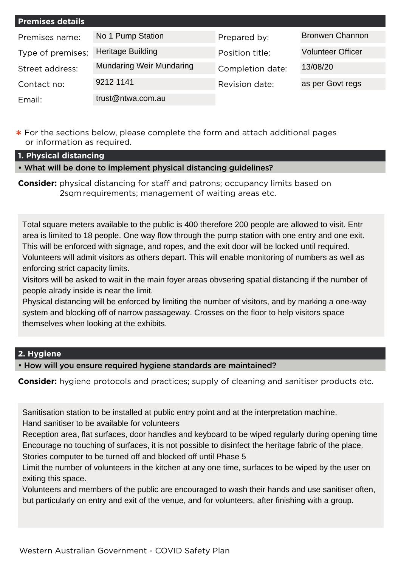| <b>Premises details</b> |                                 |                  |                          |
|-------------------------|---------------------------------|------------------|--------------------------|
| Premises name:          | No 1 Pump Station               | Prepared by:     | <b>Bronwen Channon</b>   |
| Type of premises:       | <b>Heritage Building</b>        | Position title:  | <b>Volunteer Officer</b> |
| Street address:         | <b>Mundaring Weir Mundaring</b> | Completion date: | 13/08/20                 |
| Contact no:             | 9212 1141                       | Revision date:   | as per Govt regs         |
| Email:                  | trust@ntwa.com.au               |                  |                          |

**\*** For the sections below, please complete the form and attach additional pages or information as required.

**1. Physical distancing**

• What will be done to implement physical distancing guidelines?

**Consider:** physical distancing for staff and patrons; occupancy limits based on 2sqm requirements; management of waiting areas etc.

Total square meters available to the public is 400 therefore 200 people are allowed to visit. Entr area is limited to 18 people. One way flow through the pump station with one entry and one exit. This will be enforced with signage, and ropes, and the exit door will be locked until required. Volunteers will admit visitors as others depart. This will enable monitoring of numbers as well as enforcing strict capacity limits.

Visitors will be asked to wait in the main foyer areas obvsering spatial distancing if the number of people alrady inside is near the limit.

Physical distancing will be enforced by limiting the number of visitors, and by marking a one-way system and blocking off of narrow passageway. Crosses on the floor to help visitors space themselves when looking at the exhibits.

## **2. Hygiene**

• How will you ensure required hygiene standards are maintained?

**Consider:** hygiene protocols and practices; supply of cleaning and sanitiser products etc.

Sanitisation station to be installed at public entry point and at the interpretation machine. Hand sanitiser to be available for volunteers

Reception area, flat surfaces, door handles and keyboard to be wiped regularly during opening time Encourage no touching of surfaces, it is not possible to disinfect the heritage fabric of the place. Stories computer to be turned off and blocked off until Phase 5

Limit the number of volunteers in the kitchen at any one time, surfaces to be wiped by the user on exiting this space.

Volunteers and members of the public are encouraged to wash their hands and use sanitiser often, but particularly on entry and exit of the venue, and for volunteers, after finishing with a group.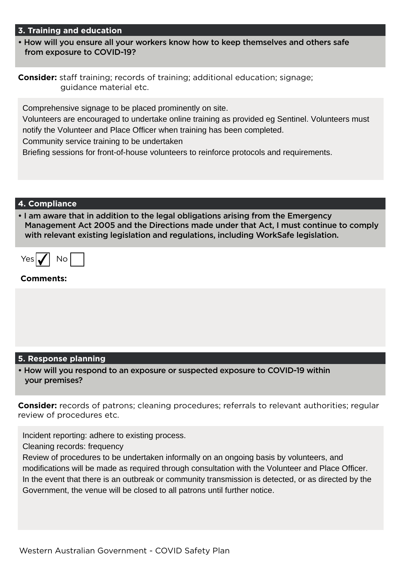### **3. Training and education**

• How will you ensure all your workers know how to keep themselves and others safe from exposure to COVID-19?

|                        | <b>Consider:</b> staff training; records of training; additional education; signage; |
|------------------------|--------------------------------------------------------------------------------------|
| guidance material etc. |                                                                                      |

Comprehensive signage to be placed prominently on site.

Volunteers are encouraged to undertake online training as provided eg Sentinel. Volunteers must notify the Volunteer and Place Officer when training has been completed.

Community service training to be undertaken

Briefing sessions for front-of-house volunteers to reinforce protocols and requirements.

### **4. Compliance**

• I am aware that in addition to the legal obligations arising from the Emergency Management Act 2005 and the Directions made under that Act, I must continue to comply with relevant existing legislation and regulations, including WorkSafe legislation.

| YAS |  | חו |  |
|-----|--|----|--|
|-----|--|----|--|

### **Comments:**

### **5. Response planning**

• How will you respond to an exposure or suspected exposure to COVID-19 within your premises?

**Consider:** records of patrons; cleaning procedures; referrals to relevant authorities; regular review of procedures etc.

Incident reporting: adhere to existing process.

Cleaning records: frequency

Review of procedures to be undertaken informally on an ongoing basis by volunteers, and modifications will be made as required through consultation with the Volunteer and Place Officer. In the event that there is an outbreak or community transmission is detected, or as directed by the Government, the venue will be closed to all patrons until further notice.